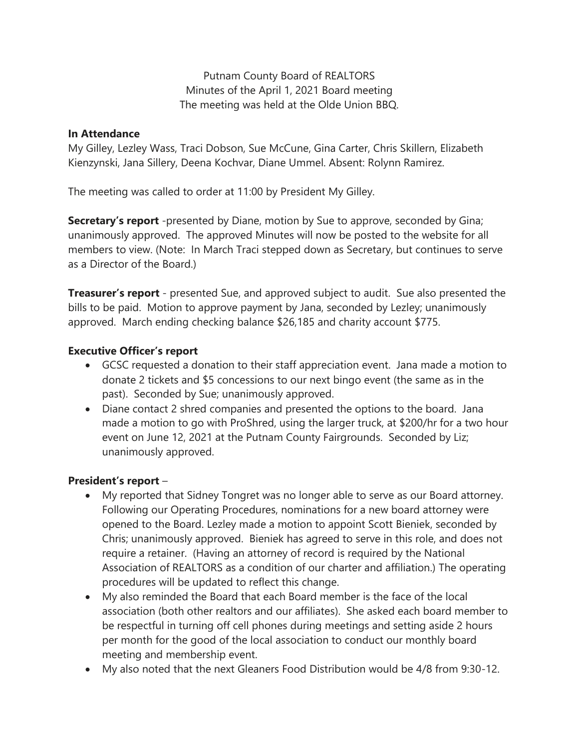Putnam County Board of REALTORS Minutes of the April 1, 2021 Board meeting The meeting was held at the Olde Union BBQ.

#### **In Attendance**

My Gilley, Lezley Wass, Traci Dobson, Sue McCune, Gina Carter, Chris Skillern, Elizabeth Kienzynski, Jana Sillery, Deena Kochvar, Diane Ummel. Absent: Rolynn Ramirez.

The meeting was called to order at 11:00 by President My Gilley.

**Secretary's report** -presented by Diane, motion by Sue to approve, seconded by Gina; unanimously approved. The approved Minutes will now be posted to the website for all members to view. (Note: In March Traci stepped down as Secretary, but continues to serve as a Director of the Board.)

**Treasurer's report** - presented Sue, and approved subject to audit. Sue also presented the bills to be paid. Motion to approve payment by Jana, seconded by Lezley; unanimously approved. March ending checking balance \$26,185 and charity account \$775.

## **Executive Officer's report**

- GCSC requested a donation to their staff appreciation event. Jana made a motion to donate 2 tickets and \$5 concessions to our next bingo event (the same as in the past). Seconded by Sue; unanimously approved.
- Diane contact 2 shred companies and presented the options to the board. Jana made a motion to go with ProShred, using the larger truck, at \$200/hr for a two hour event on June 12, 2021 at the Putnam County Fairgrounds. Seconded by Liz; unanimously approved.

## **President's report** –

- My reported that Sidney Tongret was no longer able to serve as our Board attorney. Following our Operating Procedures, nominations for a new board attorney were opened to the Board. Lezley made a motion to appoint Scott Bieniek, seconded by Chris; unanimously approved. Bieniek has agreed to serve in this role, and does not require a retainer. (Having an attorney of record is required by the National Association of REALTORS as a condition of our charter and affiliation.) The operating procedures will be updated to reflect this change.
- My also reminded the Board that each Board member is the face of the local association (both other realtors and our affiliates). She asked each board member to be respectful in turning off cell phones during meetings and setting aside 2 hours per month for the good of the local association to conduct our monthly board meeting and membership event.
- My also noted that the next Gleaners Food Distribution would be 4/8 from 9:30-12.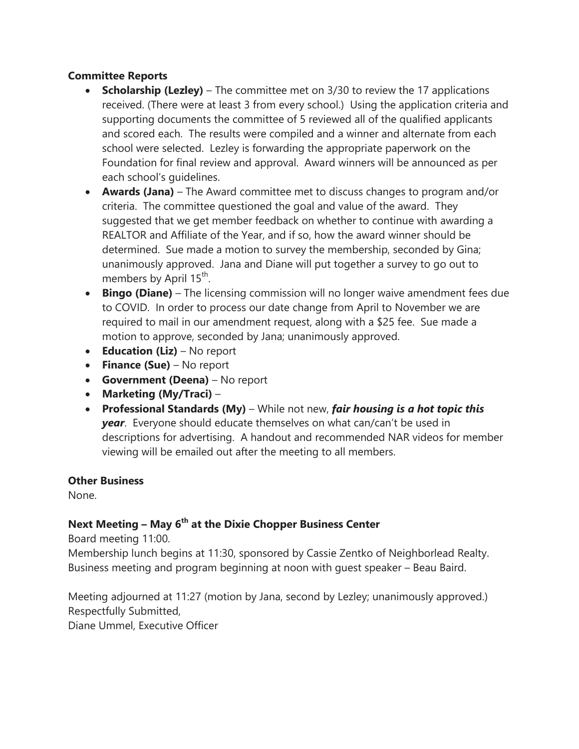## **Committee Reports**

- **Scholarship (Lezley)** The committee met on 3/30 to review the 17 applications received. (There were at least 3 from every school.) Using the application criteria and supporting documents the committee of 5 reviewed all of the qualified applicants and scored each. The results were compiled and a winner and alternate from each school were selected. Lezley is forwarding the appropriate paperwork on the Foundation for final review and approval. Award winners will be announced as per each school's guidelines.
- **Awards (Jana)** The Award committee met to discuss changes to program and/or criteria. The committee questioned the goal and value of the award. They suggested that we get member feedback on whether to continue with awarding a REALTOR and Affiliate of the Year, and if so, how the award winner should be determined. Sue made a motion to survey the membership, seconded by Gina; unanimously approved. Jana and Diane will put together a survey to go out to members by April 15<sup>th</sup>.
- **Bingo (Diane)** The licensing commission will no longer waive amendment fees due to COVID. In order to process our date change from April to November we are required to mail in our amendment request, along with a \$25 fee. Sue made a motion to approve, seconded by Jana; unanimously approved.
- **Education (Liz)** No report
- **Finance (Sue)** No report
- **Government (Deena)** No report
- **Marketing (My/Traci)** –
- **Professional Standards (My)** While not new, *fair housing is a hot topic this year*. Everyone should educate themselves on what can/can't be used in descriptions for advertising. A handout and recommended NAR videos for member viewing will be emailed out after the meeting to all members.

## **Other Business**

None.

# **Next Meeting – May 6th at the Dixie Chopper Business Center**

Board meeting 11:00.

Membership lunch begins at 11:30, sponsored by Cassie Zentko of Neighborlead Realty. Business meeting and program beginning at noon with guest speaker – Beau Baird.

Meeting adjourned at 11:27 (motion by Jana, second by Lezley; unanimously approved.) Respectfully Submitted, Diane Ummel, Executive Officer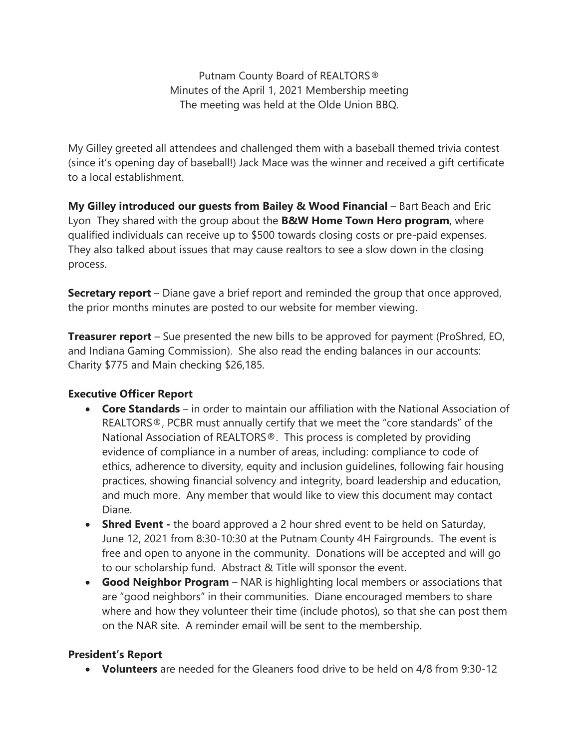Putnam County Board of REALTORS® Minutes of the April 1, 2021 Membership meeting The meeting was held at the Olde Union BBQ.

My Gilley greeted all attendees and challenged them with a baseball themed trivia contest (since it's opening day of baseball!) Jack Mace was the winner and received a gift certificate to a local establishment.

**My Gilley introduced our guests from Bailey & Wood Financial** – Bart Beach and Eric Lyon They shared with the group about the **B&W Home Town Hero program**, where qualified individuals can receive up to \$500 towards closing costs or pre-paid expenses. They also talked about issues that may cause realtors to see a slow down in the closing process.

**Secretary report** – Diane gave a brief report and reminded the group that once approved, the prior months minutes are posted to our website for member viewing.

**Treasurer report** – Sue presented the new bills to be approved for payment (ProShred, EO, and Indiana Gaming Commission). She also read the ending balances in our accounts: Charity \$775 and Main checking \$26,185.

## **Executive Officer Report**

- **Core Standards** in order to maintain our affiliation with the National Association of REALTORS®, PCBR must annually certify that we meet the "core standards" of the National Association of REALTORS®. This process is completed by providing evidence of compliance in a number of areas, including: compliance to code of ethics, adherence to diversity, equity and inclusion guidelines, following fair housing practices, showing financial solvency and integrity, board leadership and education, and much more. Any member that would like to view this document may contact Diane.
- **Shred Event** the board approved a 2 hour shred event to be held on Saturday, June 12, 2021 from 8:30-10:30 at the Putnam County 4H Fairgrounds. The event is free and open to anyone in the community. Donations will be accepted and will go to our scholarship fund. Abstract & Title will sponsor the event.
- **Good Neighbor Program** NAR is highlighting local members or associations that are "good neighbors" in their communities. Diane encouraged members to share where and how they volunteer their time (include photos), so that she can post them on the NAR site. A reminder email will be sent to the membership.

## **President's Report**

**Volunteers** are needed for the Gleaners food drive to be held on 4/8 from 9:30-12